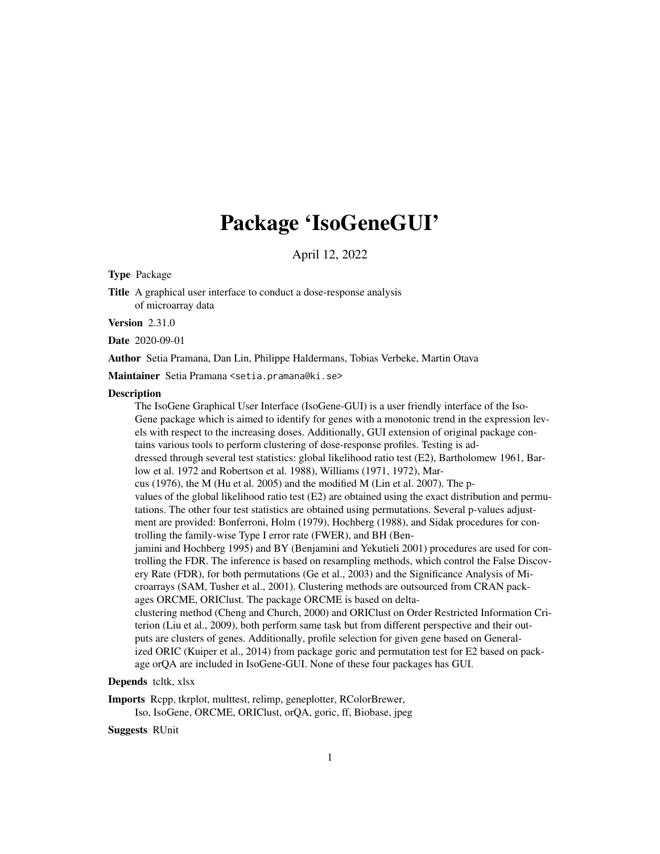## Package 'IsoGeneGUI'

April 12, 2022

Type Package

Title A graphical user interface to conduct a dose-response analysis of microarray data

**Version** 2.31.0

Date 2020-09-01

Author Setia Pramana, Dan Lin, Philippe Haldermans, Tobias Verbeke, Martin Otava

Maintainer Setia Pramana <setia.pramana@ki.se>

#### **Description**

The IsoGene Graphical User Interface (IsoGene-GUI) is a user friendly interface of the Iso-Gene package which is aimed to identify for genes with a monotonic trend in the expression levels with respect to the increasing doses. Additionally, GUI extension of original package contains various tools to perform clustering of dose-response profiles. Testing is addressed through several test statistics: global likelihood ratio test (E2), Bartholomew 1961, Barlow et al. 1972 and Robertson et al. 1988), Williams (1971, 1972), Marcus (1976), the M (Hu et al. 2005) and the modified M (Lin et al. 2007). The pvalues of the global likelihood ratio test (E2) are obtained using the exact distribution and permutations. The other four test statistics are obtained using permutations. Several p-values adjustment are provided: Bonferroni, Holm (1979), Hochberg (1988), and Sidak procedures for controlling the family-wise Type I error rate (FWER), and BH (Benjamini and Hochberg 1995) and BY (Benjamini and Yekutieli 2001) procedures are used for controlling the FDR. The inference is based on resampling methods, which control the False Discovery Rate (FDR), for both permutations (Ge et al., 2003) and the Significance Analysis of Microarrays (SAM, Tusher et al., 2001). Clustering methods are outsourced from CRAN packages ORCME, ORIClust. The package ORCME is based on deltaclustering method (Cheng and Church, 2000) and ORIClust on Order Restricted Information Criterion (Liu et al., 2009), both perform same task but from different perspective and their outputs are clusters of genes. Additionally, profile selection for given gene based on Generalized ORIC (Kuiper et al., 2014) from package goric and permutation test for E2 based on package orQA are included in IsoGene-GUI. None of these four packages has GUI.

#### Depends tcltk, xlsx

Imports Rcpp, tkrplot, multtest, relimp, geneplotter, RColorBrewer,

Iso, IsoGene, ORCME, ORIClust, orQA, goric, ff, Biobase, jpeg

Suggests RUnit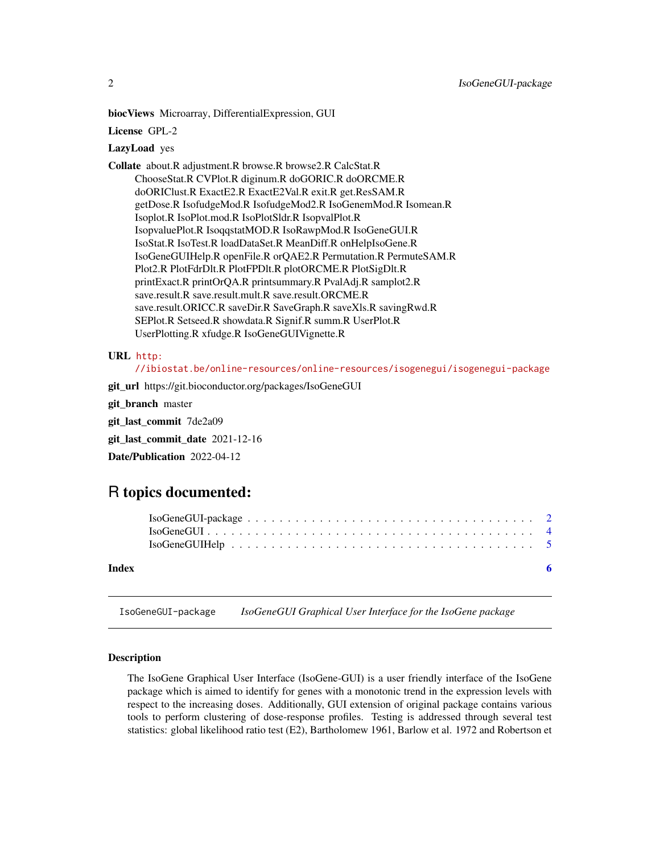<span id="page-1-0"></span>biocViews Microarray, DifferentialExpression, GUI

License GPL-2

#### LazyLoad yes

Collate about.R adjustment.R browse.R browse2.R CalcStat.R ChooseStat.R CVPlot.R diginum.R doGORIC.R doORCME.R doORIClust.R ExactE2.R ExactE2Val.R exit.R get.ResSAM.R getDose.R IsofudgeMod.R IsofudgeMod2.R IsoGenemMod.R Isomean.R Isoplot.R IsoPlot.mod.R IsoPlotSldr.R IsopvalPlot.R IsopvaluePlot.R IsoqqstatMOD.R IsoRawpMod.R IsoGeneGUI.R IsoStat.R IsoTest.R loadDataSet.R MeanDiff.R onHelpIsoGene.R IsoGeneGUIHelp.R openFile.R orQAE2.R Permutation.R PermuteSAM.R Plot2.R PlotFdrDlt.R PlotFPDlt.R plotORCME.R PlotSigDlt.R printExact.R printOrQA.R printsummary.R PvalAdj.R samplot2.R save.result.R save.result.mult.R save.result.ORCME.R save.result.ORICC.R saveDir.R SaveGraph.R saveXls.R savingRwd.R SEPlot.R Setseed.R showdata.R Signif.R summ.R UserPlot.R UserPlotting.R xfudge.R IsoGeneGUIVignette.R

#### URL [http:](http://ibiostat.be/online-resources/online-resources/isogenegui/isogenegui-package)

[//ibiostat.be/online-resources/online-resources/isogenegui/isogenegui-package](http://ibiostat.be/online-resources/online-resources/isogenegui/isogenegui-package)

git\_url https://git.bioconductor.org/packages/IsoGeneGUI

git\_branch master

git\_last\_commit 7de2a09

git\_last\_commit\_date 2021-12-16

Date/Publication 2022-04-12

### R topics documented:

|       | $IsoGeneGUI-package \dots \dots \dots \dots \dots \dots \dots \dots \dots \dots \dots \dots \dots \dots \dots \dots \dots$<br>$IsoGeneGUI \n \n \n \n \n \n \n \n$<br>$IsoGeneGUI Help \dots \dots \dots \dots \dots \dots \dots \dots \dots \dots \dots \dots \dots \dots \dots \dots \dots$ |  |
|-------|-----------------------------------------------------------------------------------------------------------------------------------------------------------------------------------------------------------------------------------------------------------------------------------------------|--|
| Index | - 6                                                                                                                                                                                                                                                                                           |  |

IsoGeneGUI-package *IsoGeneGUI Graphical User Interface for the IsoGene package*

#### Description

The IsoGene Graphical User Interface (IsoGene-GUI) is a user friendly interface of the IsoGene package which is aimed to identify for genes with a monotonic trend in the expression levels with respect to the increasing doses. Additionally, GUI extension of original package contains various tools to perform clustering of dose-response profiles. Testing is addressed through several test statistics: global likelihood ratio test (E2), Bartholomew 1961, Barlow et al. 1972 and Robertson et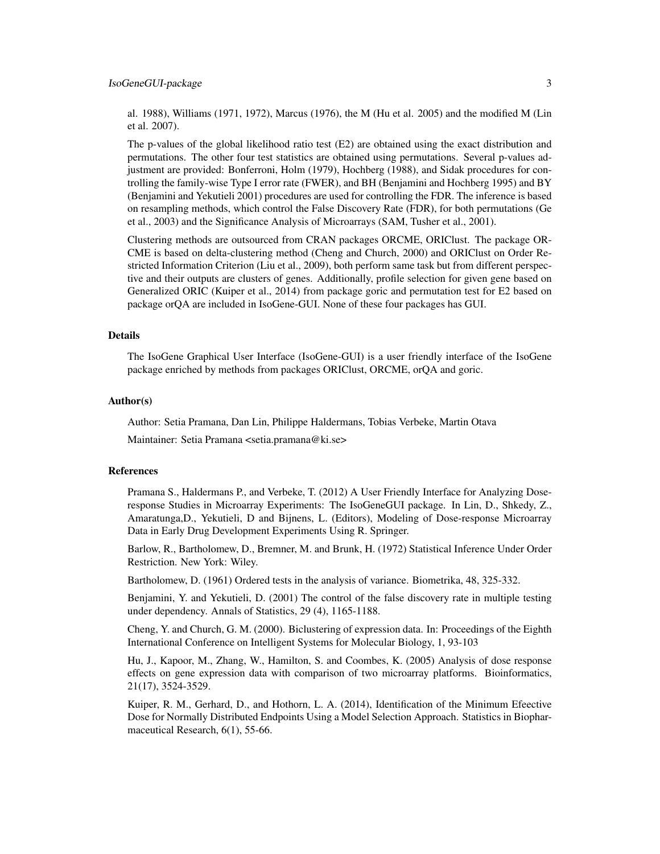al. 1988), Williams (1971, 1972), Marcus (1976), the M (Hu et al. 2005) and the modified M (Lin et al. 2007).

The p-values of the global likelihood ratio test (E2) are obtained using the exact distribution and permutations. The other four test statistics are obtained using permutations. Several p-values adjustment are provided: Bonferroni, Holm (1979), Hochberg (1988), and Sidak procedures for controlling the family-wise Type I error rate (FWER), and BH (Benjamini and Hochberg 1995) and BY (Benjamini and Yekutieli 2001) procedures are used for controlling the FDR. The inference is based on resampling methods, which control the False Discovery Rate (FDR), for both permutations (Ge et al., 2003) and the Significance Analysis of Microarrays (SAM, Tusher et al., 2001).

Clustering methods are outsourced from CRAN packages ORCME, ORIClust. The package OR-CME is based on delta-clustering method (Cheng and Church, 2000) and ORIClust on Order Restricted Information Criterion (Liu et al., 2009), both perform same task but from different perspective and their outputs are clusters of genes. Additionally, profile selection for given gene based on Generalized ORIC (Kuiper et al., 2014) from package goric and permutation test for E2 based on package orQA are included in IsoGene-GUI. None of these four packages has GUI.

#### Details

The IsoGene Graphical User Interface (IsoGene-GUI) is a user friendly interface of the IsoGene package enriched by methods from packages ORIClust, ORCME, orQA and goric.

#### Author(s)

Author: Setia Pramana, Dan Lin, Philippe Haldermans, Tobias Verbeke, Martin Otava

Maintainer: Setia Pramana <setia.pramana@ki.se>

#### References

Pramana S., Haldermans P., and Verbeke, T. (2012) A User Friendly Interface for Analyzing Doseresponse Studies in Microarray Experiments: The IsoGeneGUI package. In Lin, D., Shkedy, Z., Amaratunga,D., Yekutieli, D and Bijnens, L. (Editors), Modeling of Dose-response Microarray Data in Early Drug Development Experiments Using R. Springer.

Barlow, R., Bartholomew, D., Bremner, M. and Brunk, H. (1972) Statistical Inference Under Order Restriction. New York: Wiley.

Bartholomew, D. (1961) Ordered tests in the analysis of variance. Biometrika, 48, 325-332.

Benjamini, Y. and Yekutieli, D. (2001) The control of the false discovery rate in multiple testing under dependency. Annals of Statistics, 29 (4), 1165-1188.

Cheng, Y. and Church, G. M. (2000). Biclustering of expression data. In: Proceedings of the Eighth International Conference on Intelligent Systems for Molecular Biology, 1, 93-103

Hu, J., Kapoor, M., Zhang, W., Hamilton, S. and Coombes, K. (2005) Analysis of dose response effects on gene expression data with comparison of two microarray platforms. Bioinformatics, 21(17), 3524-3529.

Kuiper, R. M., Gerhard, D., and Hothorn, L. A. (2014), Identification of the Minimum Efeective Dose for Normally Distributed Endpoints Using a Model Selection Approach. Statistics in Biopharmaceutical Research, 6(1), 55-66.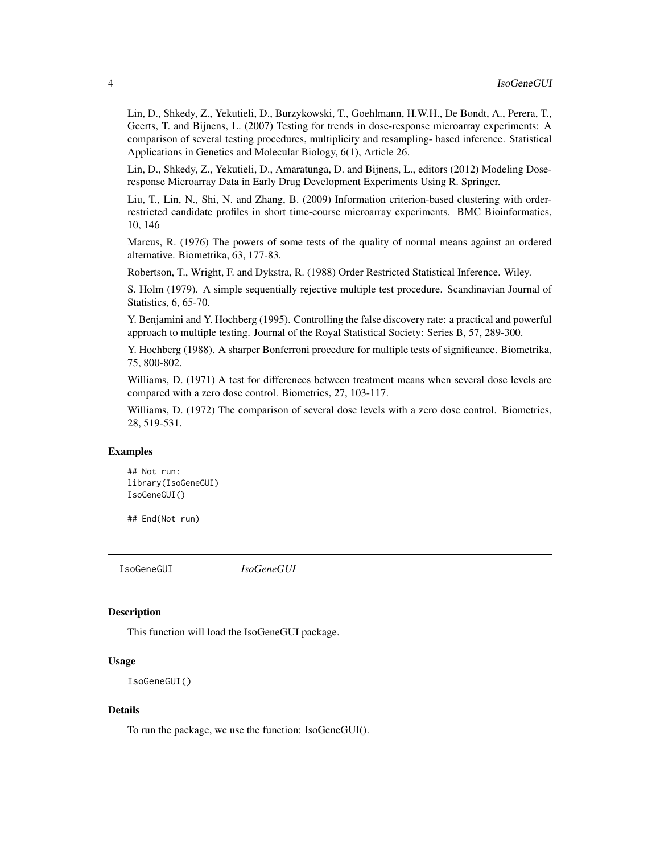Lin, D., Shkedy, Z., Yekutieli, D., Burzykowski, T., Goehlmann, H.W.H., De Bondt, A., Perera, T., Geerts, T. and Bijnens, L. (2007) Testing for trends in dose-response microarray experiments: A comparison of several testing procedures, multiplicity and resampling- based inference. Statistical Applications in Genetics and Molecular Biology, 6(1), Article 26.

Lin, D., Shkedy, Z., Yekutieli, D., Amaratunga, D. and Bijnens, L., editors (2012) Modeling Doseresponse Microarray Data in Early Drug Development Experiments Using R. Springer.

Liu, T., Lin, N., Shi, N. and Zhang, B. (2009) Information criterion-based clustering with orderrestricted candidate profiles in short time-course microarray experiments. BMC Bioinformatics, 10, 146

Marcus, R. (1976) The powers of some tests of the quality of normal means against an ordered alternative. Biometrika, 63, 177-83.

Robertson, T., Wright, F. and Dykstra, R. (1988) Order Restricted Statistical Inference. Wiley.

S. Holm (1979). A simple sequentially rejective multiple test procedure. Scandinavian Journal of Statistics, 6, 65-70.

Y. Benjamini and Y. Hochberg (1995). Controlling the false discovery rate: a practical and powerful approach to multiple testing. Journal of the Royal Statistical Society: Series B, 57, 289-300.

Y. Hochberg (1988). A sharper Bonferroni procedure for multiple tests of significance. Biometrika, 75, 800-802.

Williams, D. (1971) A test for differences between treatment means when several dose levels are compared with a zero dose control. Biometrics, 27, 103-117.

Williams, D. (1972) The comparison of several dose levels with a zero dose control. Biometrics, 28, 519-531.

#### Examples

## Not run: library(IsoGeneGUI) IsoGeneGUI()

## End(Not run)

IsoGeneGUI *IsoGeneGUI*

#### **Description**

This function will load the IsoGeneGUI package.

#### Usage

```
IsoGeneGUI()
```
#### Details

To run the package, we use the function: IsoGeneGUI().

<span id="page-3-0"></span>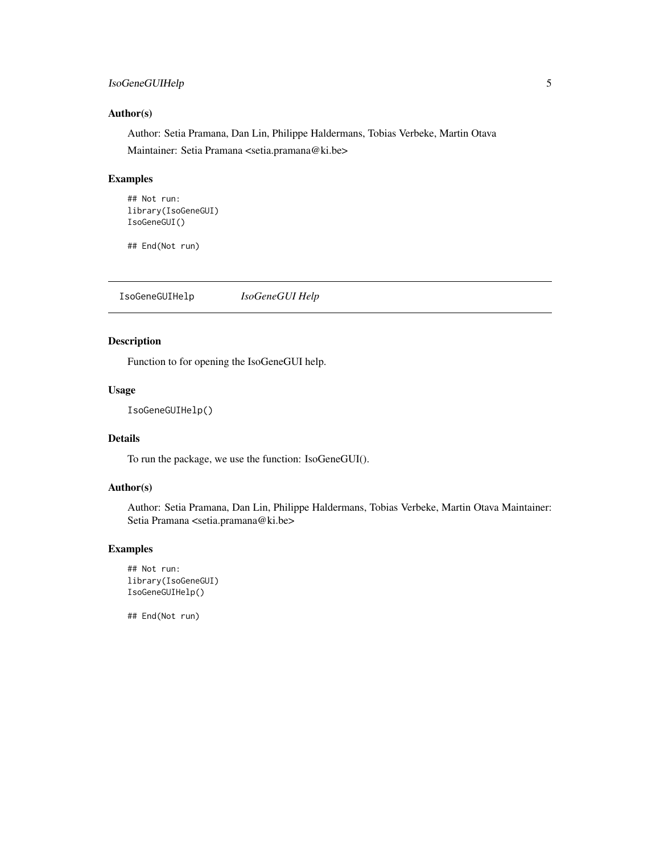#### <span id="page-4-0"></span>IsoGeneGUIHelp 5

#### Author(s)

Author: Setia Pramana, Dan Lin, Philippe Haldermans, Tobias Verbeke, Martin Otava Maintainer: Setia Pramana <setia.pramana@ki.be>

#### Examples

```
## Not run:
library(IsoGeneGUI)
IsoGeneGUI()
```
## End(Not run)

IsoGeneGUIHelp *IsoGeneGUI Help*

#### Description

Function to for opening the IsoGeneGUI help.

#### Usage

IsoGeneGUIHelp()

#### Details

To run the package, we use the function: IsoGeneGUI().

#### Author(s)

Author: Setia Pramana, Dan Lin, Philippe Haldermans, Tobias Verbeke, Martin Otava Maintainer: Setia Pramana <setia.pramana@ki.be>

#### Examples

```
## Not run:
library(IsoGeneGUI)
IsoGeneGUIHelp()
```
## End(Not run)